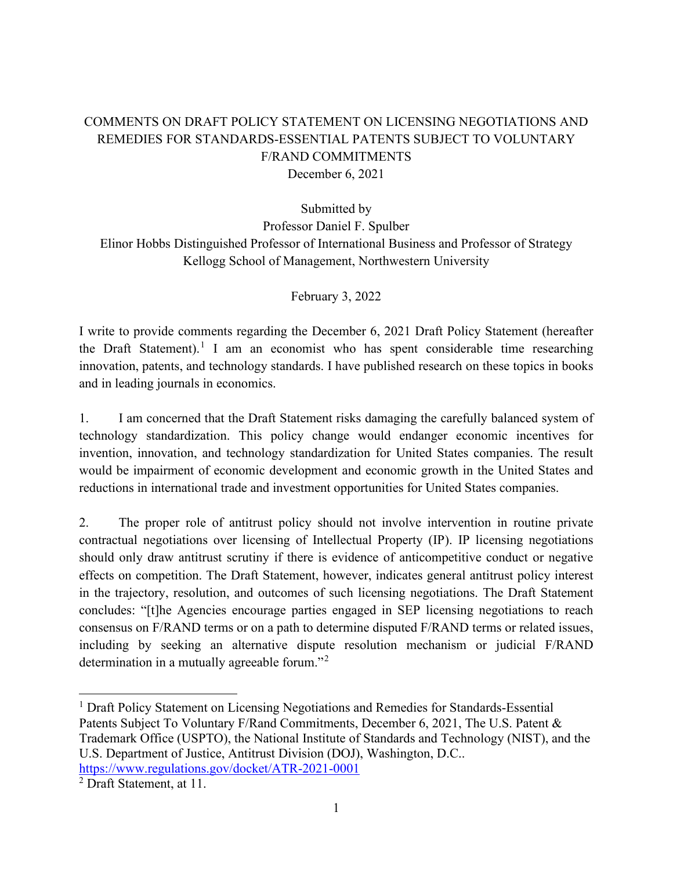## COMMENTS ON DRAFT POLICY STATEMENT ON LICENSING NEGOTIATIONS AND REMEDIES FOR STANDARDS-ESSENTIAL PATENTS SUBJECT TO VOLUNTARY F/RAND COMMITMENTS December 6, 2021

Submitted by

Professor Daniel F. Spulber Elinor Hobbs Distinguished Professor of International Business and Professor of Strategy Kellogg School of Management, Northwestern University

February 3, 2022

I write to provide comments regarding the December 6, 2021 Draft Policy Statement (hereafter the Draft Statement).<sup>[1](#page-0-0)</sup> I am an economist who has spent considerable time researching innovation, patents, and technology standards. I have published research on these topics in books and in leading journals in economics.

1. I am concerned that the Draft Statement risks damaging the carefully balanced system of technology standardization. This policy change would endanger economic incentives for invention, innovation, and technology standardization for United States companies. The result would be impairment of economic development and economic growth in the United States and reductions in international trade and investment opportunities for United States companies.

2. The proper role of antitrust policy should not involve intervention in routine private contractual negotiations over licensing of Intellectual Property (IP). IP licensing negotiations should only draw antitrust scrutiny if there is evidence of anticompetitive conduct or negative effects on competition. The Draft Statement, however, indicates general antitrust policy interest in the trajectory, resolution, and outcomes of such licensing negotiations. The Draft Statement concludes: "[t]he Agencies encourage parties engaged in SEP licensing negotiations to reach consensus on F/RAND terms or on a path to determine disputed F/RAND terms or related issues, including by seeking an alternative dispute resolution mechanism or judicial F/RAND determination in a mutually agreeable forum."[2](#page-0-1)

<span id="page-0-0"></span><sup>&</sup>lt;sup>1</sup> Draft Policy Statement on Licensing Negotiations and Remedies for Standards-Essential Patents Subject To Voluntary F/Rand Commitments, December 6, 2021, The U.S. Patent & Trademark Office (USPTO), the National Institute of Standards and Technology (NIST), and the U.S. Department of Justice, Antitrust Division (DOJ), Washington, D.C.. <https://www.regulations.gov/docket/ATR-2021-0001>

<span id="page-0-1"></span><sup>2</sup> Draft Statement, at 11.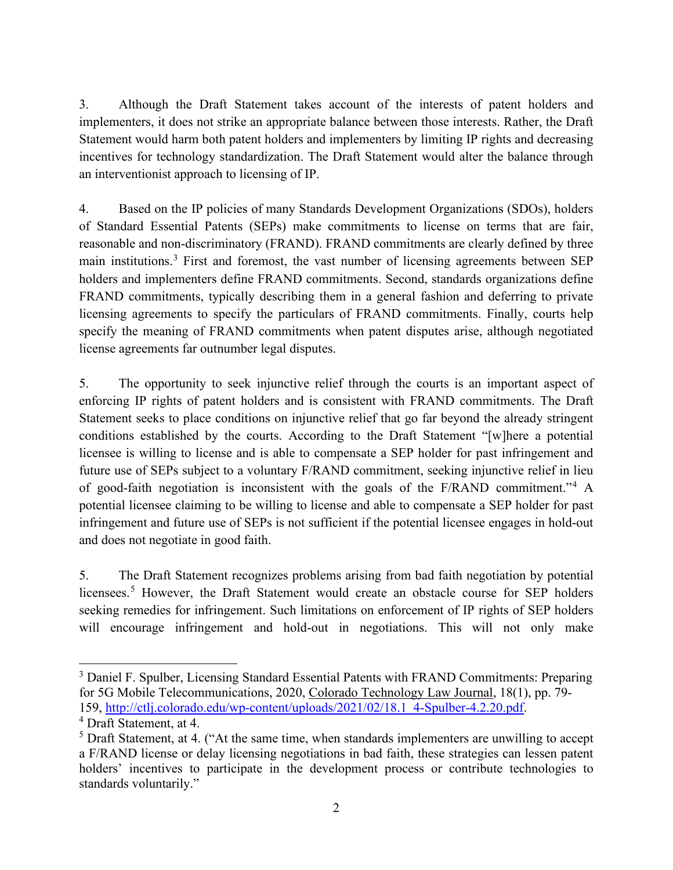3. Although the Draft Statement takes account of the interests of patent holders and implementers, it does not strike an appropriate balance between those interests. Rather, the Draft Statement would harm both patent holders and implementers by limiting IP rights and decreasing incentives for technology standardization. The Draft Statement would alter the balance through an interventionist approach to licensing of IP.

4. Based on the IP policies of many Standards Development Organizations (SDOs), holders of Standard Essential Patents (SEPs) make commitments to license on terms that are fair, reasonable and non-discriminatory (FRAND). FRAND commitments are clearly defined by three main institutions.[3](#page-1-0) First and foremost, the vast number of licensing agreements between SEP holders and implementers define FRAND commitments. Second, standards organizations define FRAND commitments, typically describing them in a general fashion and deferring to private licensing agreements to specify the particulars of FRAND commitments. Finally, courts help specify the meaning of FRAND commitments when patent disputes arise, although negotiated license agreements far outnumber legal disputes.

5. The opportunity to seek injunctive relief through the courts is an important aspect of enforcing IP rights of patent holders and is consistent with FRAND commitments. The Draft Statement seeks to place conditions on injunctive relief that go far beyond the already stringent conditions established by the courts. According to the Draft Statement "[w]here a potential licensee is willing to license and is able to compensate a SEP holder for past infringement and future use of SEPs subject to a voluntary F/RAND commitment, seeking injunctive relief in lieu of good-faith negotiation is inconsistent with the goals of the F/RAND commitment."[4](#page-1-1) A potential licensee claiming to be willing to license and able to compensate a SEP holder for past infringement and future use of SEPs is not sufficient if the potential licensee engages in hold-out and does not negotiate in good faith.

5. The Draft Statement recognizes problems arising from bad faith negotiation by potential licensees.<sup>[5](#page-1-2)</sup> However, the Draft Statement would create an obstacle course for SEP holders seeking remedies for infringement. Such limitations on enforcement of IP rights of SEP holders will encourage infringement and hold-out in negotiations. This will not only make

<span id="page-1-0"></span><sup>&</sup>lt;sup>3</sup> Daniel F. Spulber, Licensing Standard Essential Patents with FRAND Commitments: Preparing for 5G Mobile Telecommunications, 2020, Colorado Technology Law Journal, 18(1), pp. 79- 159, [http://ctlj.colorado.edu/wp-content/uploads/2021/02/18.1\\_4-Spulber-4.2.20.pdf.](http://ctlj.colorado.edu/wp-content/uploads/2021/02/18.1_4-Spulber-4.2.20.pdf)

<span id="page-1-1"></span><sup>4</sup> Draft Statement, at 4.

<span id="page-1-2"></span> $<sup>5</sup>$  Draft Statement, at 4. ("At the same time, when standards implementers are unwilling to accept</sup> a F/RAND license or delay licensing negotiations in bad faith, these strategies can lessen patent holders' incentives to participate in the development process or contribute technologies to standards voluntarily."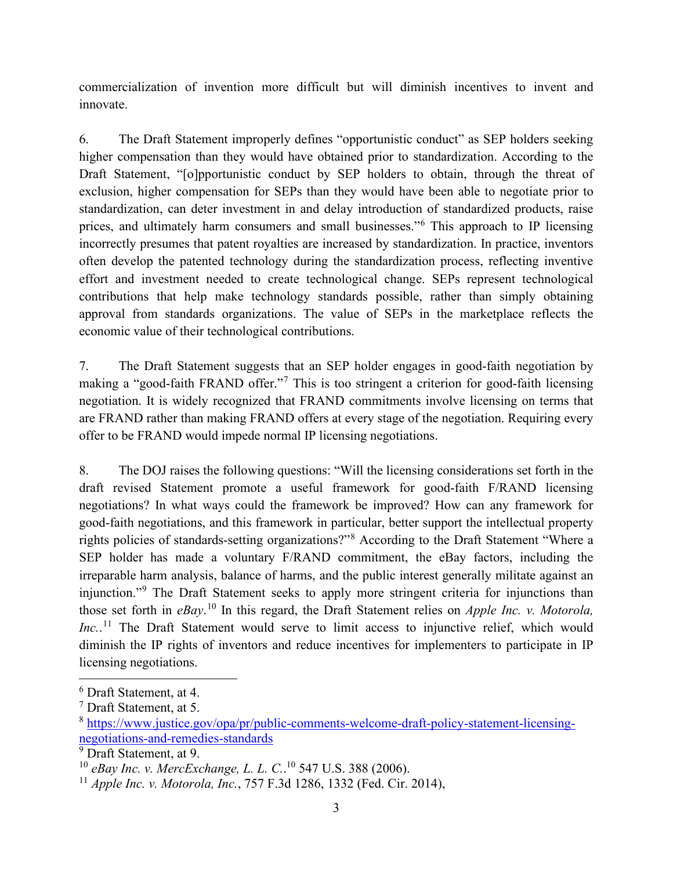commercialization of invention more difficult but will diminish incentives to invent and innovate.

6. The Draft Statement improperly defines "opportunistic conduct" as SEP holders seeking higher compensation than they would have obtained prior to standardization. According to the Draft Statement, "[o]pportunistic conduct by SEP holders to obtain, through the threat of exclusion, higher compensation for SEPs than they would have been able to negotiate prior to standardization, can deter investment in and delay introduction of standardized products, raise prices, and ultimately harm consumers and small businesses."[6](#page-2-0) This approach to IP licensing incorrectly presumes that patent royalties are increased by standardization. In practice, inventors often develop the patented technology during the standardization process, reflecting inventive effort and investment needed to create technological change. SEPs represent technological contributions that help make technology standards possible, rather than simply obtaining approval from standards organizations. The value of SEPs in the marketplace reflects the economic value of their technological contributions.

7. The Draft Statement suggests that an SEP holder engages in good-faith negotiation by making a "good-faith FRAND offer."[7](#page-2-1) This is too stringent a criterion for good-faith licensing negotiation. It is widely recognized that FRAND commitments involve licensing on terms that are FRAND rather than making FRAND offers at every stage of the negotiation. Requiring every offer to be FRAND would impede normal IP licensing negotiations.

8. The DOJ raises the following questions: "Will the licensing considerations set forth in the draft revised Statement promote a useful framework for good-faith F/RAND licensing negotiations? In what ways could the framework be improved? How can any framework for good-faith negotiations, and this framework in particular, better support the intellectual property rights policies of standards-setting organizations?"[8](#page-2-2) According to the Draft Statement "Where a SEP holder has made a voluntary F/RAND commitment, the eBay factors, including the irreparable harm analysis, balance of harms, and the public interest generally militate against an injunction."[9](#page-2-3) The Draft Statement seeks to apply more stringent criteria for injunctions than those set forth in *eBay*. [10](#page-2-4) In this regard, the Draft Statement relies on *Apple Inc. v. Motorola,*  Inc..<sup>[11](#page-2-5)</sup> The Draft Statement would serve to limit access to injunctive relief, which would diminish the IP rights of inventors and reduce incentives for implementers to participate in IP licensing negotiations.

<span id="page-2-0"></span><sup>6</sup> Draft Statement, at 4.

<span id="page-2-1"></span><sup>7</sup> Draft Statement, at 5.

<span id="page-2-2"></span><sup>8</sup> [https://www.justice.gov/opa/pr/public-comments-welcome-draft-policy-statement-licensing](https://www.justice.gov/opa/pr/public-comments-welcome-draft-policy-statement-licensing-negotiations-and-remedies-standards)[negotiations-and-remedies-standards](https://www.justice.gov/opa/pr/public-comments-welcome-draft-policy-statement-licensing-negotiations-and-remedies-standards)

<span id="page-2-3"></span><sup>&</sup>lt;sup>9</sup> Draft Statement, at 9.

<span id="page-2-4"></span><sup>10</sup> *eBay Inc. v. MercExchange, L. L. C.*. <sup>10</sup> 547 U.S. 388 (2006).

<span id="page-2-5"></span><sup>11</sup> *Apple Inc. v. Motorola, Inc.*, 757 F.3d 1286, 1332 (Fed. Cir. 2014),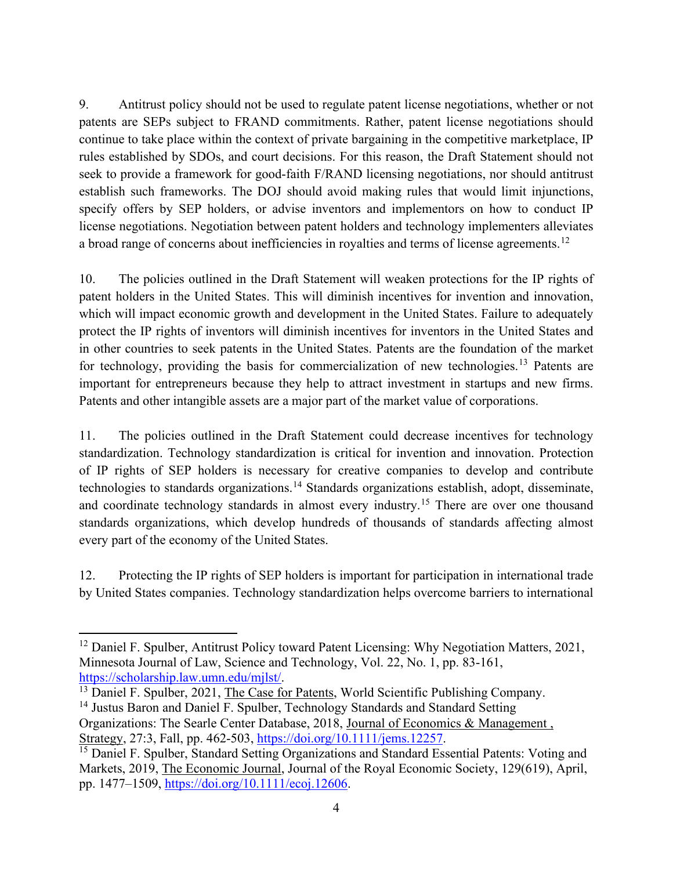9. Antitrust policy should not be used to regulate patent license negotiations, whether or not patents are SEPs subject to FRAND commitments. Rather, patent license negotiations should continue to take place within the context of private bargaining in the competitive marketplace, IP rules established by SDOs, and court decisions. For this reason, the Draft Statement should not seek to provide a framework for good-faith F/RAND licensing negotiations, nor should antitrust establish such frameworks. The DOJ should avoid making rules that would limit injunctions, specify offers by SEP holders, or advise inventors and implementors on how to conduct IP license negotiations. Negotiation between patent holders and technology implementers alleviates a broad range of concerns about inefficiencies in royalties and terms of license agreements.<sup>[12](#page-3-0)</sup>

10. The policies outlined in the Draft Statement will weaken protections for the IP rights of patent holders in the United States. This will diminish incentives for invention and innovation, which will impact economic growth and development in the United States. Failure to adequately protect the IP rights of inventors will diminish incentives for inventors in the United States and in other countries to seek patents in the United States. Patents are the foundation of the market for technology, providing the basis for commercialization of new technologies.<sup>[13](#page-3-1)</sup> Patents are important for entrepreneurs because they help to attract investment in startups and new firms. Patents and other intangible assets are a major part of the market value of corporations.

11. The policies outlined in the Draft Statement could decrease incentives for technology standardization. Technology standardization is critical for invention and innovation. Protection of IP rights of SEP holders is necessary for creative companies to develop and contribute technologies to standards organizations.[14](#page-3-2) Standards organizations establish, adopt, disseminate, and coordinate technology standards in almost every industry.<sup>[15](#page-3-3)</sup> There are over one thousand standards organizations, which develop hundreds of thousands of standards affecting almost every part of the economy of the United States.

12. Protecting the IP rights of SEP holders is important for participation in international trade by United States companies. Technology standardization helps overcome barriers to international

<span id="page-3-0"></span> $12$  Daniel F. Spulber, Antitrust Policy toward Patent Licensing: Why Negotiation Matters, 2021, Minnesota Journal of Law, Science and Technology, Vol. 22, No. 1, pp. 83-161, [https://scholarship.law.umn.edu/mjlst/.](https://scholarship.law.umn.edu/mjlst/)<br><sup>13</sup> Daniel F. Spulber, 2021, The Case for Patents, World Scientific Publishing Company.

<span id="page-3-1"></span>

<span id="page-3-2"></span><sup>&</sup>lt;sup>14</sup> Justus Baron and Daniel F. Spulber, Technology Standards and Standard Setting Organizations: The Searle Center Database, 2018, Journal of Economics & Management , Strategy, 27:3, Fall, pp. 462-503, [https://doi.org/10.1111/jems.12257.](https://doi.org/10.1111/jems.12257)

<span id="page-3-3"></span><sup>&</sup>lt;sup>15</sup> Daniel F. Spulber, Standard Setting Organizations and Standard Essential Patents: Voting and Markets, 2019, The Economic Journal, Journal of the Royal Economic Society, 129(619), April, pp. 1477–1509, [https://doi.org/10.1111/ecoj.12606.](https://doi.org/10.1111/ecoj.12606)